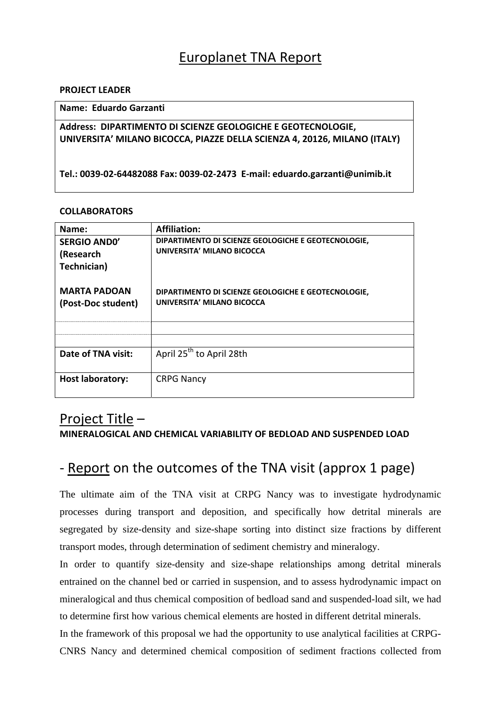## Europlanet TNA Report

#### **PROJECT LEADER**

#### **Name: Eduardo Garzanti**

```
Address:  DIPARTIMENTO DI SCIENZE GEOLOGICHE E GEOTECNOLOGIE,
UNIVERSITA' MILANO BICOCCA, PIAZZE DELLA SCIENZA 4, 20126, MILANO (ITALY)
```
**Tel.: 0039‐02‐64482088 Fax: 0039‐02‐2473 E‐mail: eduardo.garzanti@unimib.it**

#### **COLLABORATORS**

| Name:                                           | <b>Affiliation:</b>                                                               |
|-------------------------------------------------|-----------------------------------------------------------------------------------|
| <b>SERGIO ANDO'</b><br>(Research<br>Technician) | DIPARTIMENTO DI SCIENZE GEOLOGICHE E GEOTECNOLOGIE,<br>UNIVERSITA' MILANO BICOCCA |
| <b>MARTA PADOAN</b><br>(Post-Doc student)       | DIPARTIMENTO DI SCIENZE GEOLOGICHE E GEOTECNOLOGIE,<br>UNIVERSITA' MILANO BICOCCA |
|                                                 |                                                                                   |
|                                                 |                                                                                   |
| Date of TNA visit:                              | April 25 <sup>th</sup> to April 28th                                              |
| <b>Host laboratory:</b>                         | <b>CRPG Nancy</b>                                                                 |

## Project Title –

### **MINERALOGICAL AND CHEMICAL VARIABILITY OF BEDLOAD AND SUSPENDED LOAD**

## ‐ Report on the outcomes of the TNA visit (approx 1 page)

The ultimate aim of the TNA visit at CRPG Nancy was to investigate hydrodynamic processes during transport and deposition, and specifically how detrital minerals are segregated by size-density and size-shape sorting into distinct size fractions by different transport modes, through determination of sediment chemistry and mineralogy.

In order to quantify size-density and size-shape relationships among detrital minerals entrained on the channel bed or carried in suspension, and to assess hydrodynamic impact on mineralogical and thus chemical composition of bedload sand and suspended-load silt, we had to determine first how various chemical elements are hosted in different detrital minerals.

In the framework of this proposal we had the opportunity to use analytical facilities at CRPG-CNRS Nancy and determined chemical composition of sediment fractions collected from